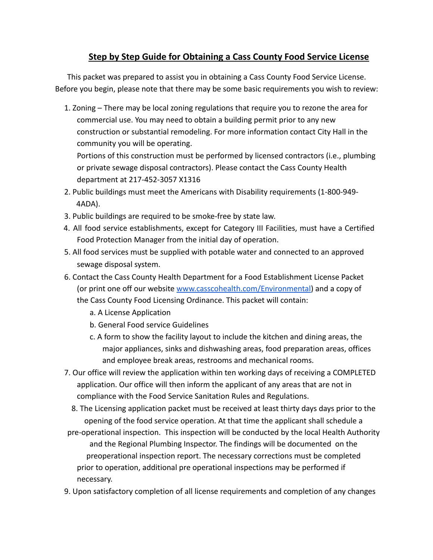# **Step by Step Guide for Obtaining a Cass County Food Service License**

This packet was prepared to assist you in obtaining a Cass County Food Service License. Before you begin, please note that there may be some basic requirements you wish to review:

1. Zoning – There may be local zoning regulations that require you to rezone the area for commercial use. You may need to obtain a building permit prior to any new construction or substantial remodeling. For more information contact City Hall in the community you will be operating.

Portions of this construction must be performed by licensed contractors (i.e., plumbing or private sewage disposal contractors). Please contact the Cass County Health department at 217-452-3057 X1316

- 2. Public buildings must meet the Americans with Disability requirements (1-800-949- 4ADA).
- 3. Public buildings are required to be smoke-free by state law.
- 4. All food service establishments, except for Category III Facilities, must have a Certified Food Protection Manager from the initial day of operation.
- 5. All food services must be supplied with potable water and connected to an approved sewage disposal system.
- 6. Contact the Cass County Health Department for a Food Establishment License Packet (or print one off our website [www.casscohealth.com/Environmental\)](http://www.casscohealth.com/Environmental) and a copy of the Cass County Food Licensing Ordinance. This packet will contain:
	- a. A License Application
	- b. General Food service Guidelines
	- c. A form to show the facility layout to include the kitchen and dining areas, the major appliances, sinks and dishwashing areas, food preparation areas, offices and employee break areas, restrooms and mechanical rooms.
- 7. Our office will review the application within ten working days of receiving a COMPLETED application. Our office will then inform the applicant of any areas that are not in compliance with the Food Service Sanitation Rules and Regulations.
	- 8. The Licensing application packet must be received at least thirty days days prior to the opening of the food service operation. At that time the applicant shall schedule a
- pre-operational inspection. This inspection will be conducted by the local Health Authority and the Regional Plumbing Inspector. The findings will be documented on the preoperational inspection report. The necessary corrections must be completed prior to operation, additional pre operational inspections may be performed if necessary.
- 9. Upon satisfactory completion of all license requirements and completion of any changes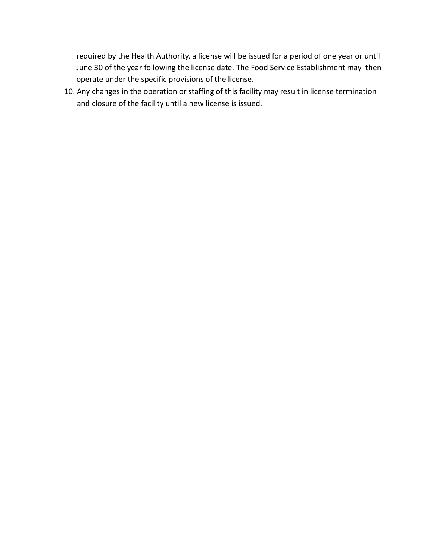required by the Health Authority, a license will be issued for a period of one year or until June 30 of the year following the license date. The Food Service Establishment may then operate under the specific provisions of the license.

10. Any changes in the operation or staffing of this facility may result in license termination and closure of the facility until a new license is issued.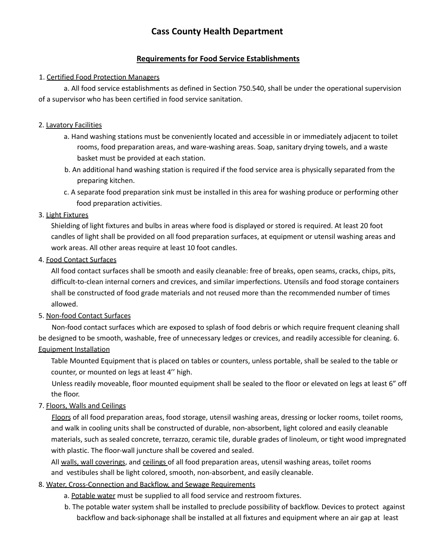# **Cass County Health Department**

#### **Requirements for Food Service Establishments**

#### 1. Certified Food Protection Managers

a. All food service establishments as defined in Section 750.540, shall be under the operational supervision of a supervisor who has been certified in food service sanitation.

#### 2. Lavatory Facilities

- a. Hand washing stations must be conveniently located and accessible in or immediately adjacent to toilet rooms, food preparation areas, and ware-washing areas. Soap, sanitary drying towels, and a waste basket must be provided at each station.
- b. An additional hand washing station is required if the food service area is physically separated from the preparing kitchen.
- c. A separate food preparation sink must be installed in this area for washing produce or performing other food preparation activities.

#### 3. Light Fixtures

Shielding of light fixtures and bulbs in areas where food is displayed or stored is required. At least 20 foot candles of light shall be provided on all food preparation surfaces, at equipment or utensil washing areas and work areas. All other areas require at least 10 foot candles.

#### 4. Food Contact Surfaces

All food contact surfaces shall be smooth and easily cleanable: free of breaks, open seams, cracks, chips, pits, difficult-to-clean internal corners and crevices, and similar imperfections. Utensils and food storage containers shall be constructed of food grade materials and not reused more than the recommended number of times allowed.

#### 5. Non-food Contact Surfaces

Non-food contact surfaces which are exposed to splash of food debris or which require frequent cleaning shall be designed to be smooth, washable, free of unnecessary ledges or crevices, and readily accessible for cleaning. 6. Equipment Installation

Table Mounted Equipment that is placed on tables or counters, unless portable, shall be sealed to the table or counter, or mounted on legs at least 4'' high.

Unless readily moveable, floor mounted equipment shall be sealed to the floor or elevated on legs at least 6" off the floor.

#### 7. Floors, Walls and Ceilings

Floors of all food preparation areas, food storage, utensil washing areas, dressing or locker rooms, toilet rooms, and walk in cooling units shall be constructed of durable, non-absorbent, light colored and easily cleanable materials, such as sealed concrete, terrazzo, ceramic tile, durable grades of linoleum, or tight wood impregnated with plastic. The floor-wall juncture shall be covered and sealed.

All walls, wall coverings, and ceilings of all food preparation areas, utensil washing areas, toilet rooms and vestibules shall be light colored, smooth, non-absorbent, and easily cleanable.

#### 8. Water, Cross-Connection and Backflow, and Sewage Requirements

- a. Potable water must be supplied to all food service and restroom fixtures.
- b. The potable water system shall be installed to preclude possibility of backflow. Devices to protect against backflow and back-siphonage shall be installed at all fixtures and equipment where an air gap at least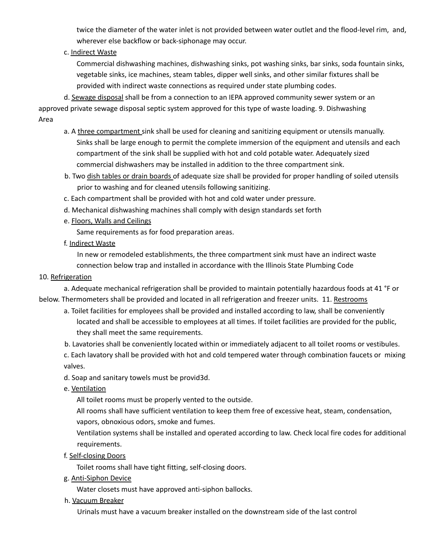twice the diameter of the water inlet is not provided between water outlet and the flood-level rim, and, wherever else backflow or back-siphonage may occur.

#### c. Indirect Waste

Commercial dishwashing machines, dishwashing sinks, pot washing sinks, bar sinks, soda fountain sinks, vegetable sinks, ice machines, steam tables, dipper well sinks, and other similar fixtures shall be provided with indirect waste connections as required under state plumbing codes.

d. Sewage disposal shall be from a connection to an IEPA approved community sewer system or an approved private sewage disposal septic system approved for this type of waste loading. 9. Dishwashing Area

- a. A three compartment sink shall be used for cleaning and sanitizing equipment or utensils manually. Sinks shall be large enough to permit the complete immersion of the equipment and utensils and each compartment of the sink shall be supplied with hot and cold potable water. Adequately sized commercial dishwashers may be installed in addition to the three compartment sink.
- b. Two dish tables or drain boards of adequate size shall be provided for proper handling of soiled utensils prior to washing and for cleaned utensils following sanitizing.
- c. Each compartment shall be provided with hot and cold water under pressure.
- d. Mechanical dishwashing machines shall comply with design standards set forth
- e. Floors, Walls and Ceilings

Same requirements as for food preparation areas.

f. Indirect Waste

In new or remodeled establishments, the three compartment sink must have an indirect waste connection below trap and installed in accordance with the Illinois State Plumbing Code

#### 10. Refrigeration

a. Adequate mechanical refrigeration shall be provided to maintain potentially hazardous foods at 41 °F or below. Thermometers shall be provided and located in all refrigeration and freezer units. 11. Restrooms

a. Toilet facilities for employees shall be provided and installed according to law, shall be conveniently located and shall be accessible to employees at all times. If toilet facilities are provided for the public, they shall meet the same requirements.

b. Lavatories shall be conveniently located within or immediately adjacent to all toilet rooms or vestibules. c. Each lavatory shall be provided with hot and cold tempered water through combination faucets or mixing valves.

#### d. Soap and sanitary towels must be provid3d.

e. Ventilation

All toilet rooms must be properly vented to the outside.

All rooms shall have sufficient ventilation to keep them free of excessive heat, steam, condensation, vapors, obnoxious odors, smoke and fumes.

Ventilation systems shall be installed and operated according to law. Check local fire codes for additional requirements.

f. Self-closing Doors

Toilet rooms shall have tight fitting, self-closing doors.

g. Anti-Siphon Device

Water closets must have approved anti-siphon ballocks.

h. Vacuum Breaker

Urinals must have a vacuum breaker installed on the downstream side of the last control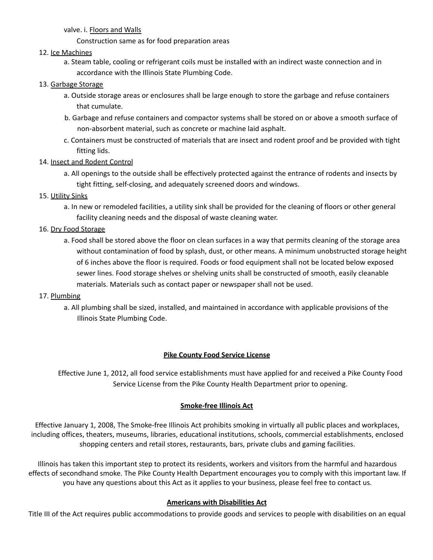valve. i. Floors and Walls

Construction same as for food preparation areas

#### 12. Ice Machines

a. Steam table, cooling or refrigerant coils must be installed with an indirect waste connection and in accordance with the Illinois State Plumbing Code.

#### 13. Garbage Storage

- a. Outside storage areas or enclosures shall be large enough to store the garbage and refuse containers that cumulate.
- b. Garbage and refuse containers and compactor systems shall be stored on or above a smooth surface of non-absorbent material, such as concrete or machine laid asphalt.
- c. Containers must be constructed of materials that are insect and rodent proof and be provided with tight fitting lids.
- 14. Insect and Rodent Control
	- a. All openings to the outside shall be effectively protected against the entrance of rodents and insects by tight fitting, self-closing, and adequately screened doors and windows.
- 15. Utility Sinks
	- a. In new or remodeled facilities, a utility sink shall be provided for the cleaning of floors or other general facility cleaning needs and the disposal of waste cleaning water.
- 16. Dry Food Storage
	- a. Food shall be stored above the floor on clean surfaces in a way that permits cleaning of the storage area without contamination of food by splash, dust, or other means. A minimum unobstructed storage height of 6 inches above the floor is required. Foods or food equipment shall not be located below exposed sewer lines. Food storage shelves or shelving units shall be constructed of smooth, easily cleanable materials. Materials such as contact paper or newspaper shall not be used.

#### 17. Plumbing

a. All plumbing shall be sized, installed, and maintained in accordance with applicable provisions of the Illinois State Plumbing Code.

#### **Pike County Food Service License**

Effective June 1, 2012, all food service establishments must have applied for and received a Pike County Food Service License from the Pike County Health Department prior to opening.

#### **Smoke-free Illinois Act**

Effective January 1, 2008, The Smoke-free Illinois Act prohibits smoking in virtually all public places and workplaces, including offices, theaters, museums, libraries, educational institutions, schools, commercial establishments, enclosed shopping centers and retail stores, restaurants, bars, private clubs and gaming facilities.

Illinois has taken this important step to protect its residents, workers and visitors from the harmful and hazardous effects of secondhand smoke. The Pike County Health Department encourages you to comply with this important law. If you have any questions about this Act as it applies to your business, please feel free to contact us.

#### **Americans with Disabilities Act**

Title III of the Act requires public accommodations to provide goods and services to people with disabilities on an equal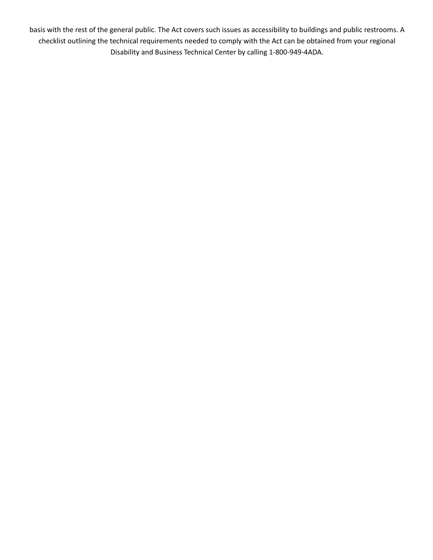basis with the rest of the general public. The Act covers such issues as accessibility to buildings and public restrooms. A checklist outlining the technical requirements needed to comply with the Act can be obtained from your regional Disability and Business Technical Center by calling 1-800-949-4ADA.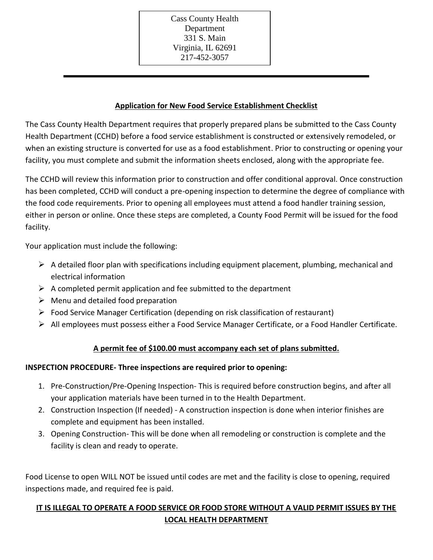Cass County Health Department 331 S. Main Virginia, IL 62691 217-452-3057

#### **Application for New Food Service Establishment Checklist**

The Cass County Health Department requires that properly prepared plans be submitted to the Cass County Health Department (CCHD) before a food service establishment is constructed or extensively remodeled, or when an existing structure is converted for use as a food establishment. Prior to constructing or opening your facility, you must complete and submit the information sheets enclosed, along with the appropriate fee.

The CCHD will review this information prior to construction and offer conditional approval. Once construction has been completed, CCHD will conduct a pre-opening inspection to determine the degree of compliance with the food code requirements. Prior to opening all employees must attend a food handler training session, either in person or online. Once these steps are completed, a County Food Permit will be issued for the food facility.

Your application must include the following:

- $\triangleright$  A detailed floor plan with specifications including equipment placement, plumbing, mechanical and electrical information
- $\triangleright$  A completed permit application and fee submitted to the department
- $\triangleright$  Menu and detailed food preparation
- $\triangleright$  Food Service Manager Certification (depending on risk classification of restaurant)
- $\triangleright$  All employees must possess either a Food Service Manager Certificate, or a Food Handler Certificate.

## **A permit fee of \$100.00 must accompany each set of plans submitted.**

### **INSPECTION PROCEDURE- Three inspections are required prior to opening:**

- 1. Pre-Construction/Pre-Opening Inspection- This is required before construction begins, and after all your application materials have been turned in to the Health Department.
- 2. Construction Inspection (If needed) A construction inspection is done when interior finishes are complete and equipment has been installed.
- 3. Opening Construction- This will be done when all remodeling or construction is complete and the facility is clean and ready to operate.

Food License to open WILL NOT be issued until codes are met and the facility is close to opening, required inspections made, and required fee is paid.

## **IT IS ILLEGAL TO OPERATE A FOOD SERVICE OR FOOD STORE WITHOUT A VALID PERMIT ISSUES BY THE LOCAL HEALTH DEPARTMENT**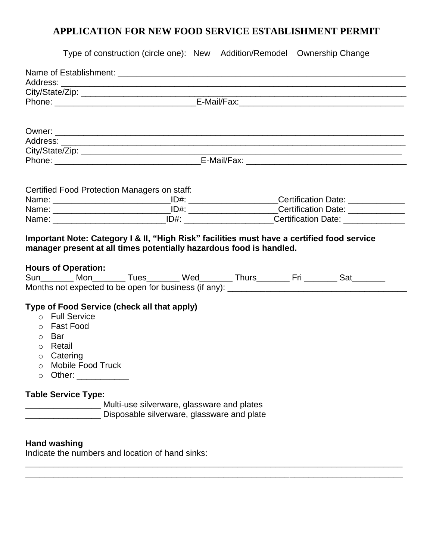# **APPLICATION FOR NEW FOOD SERVICE ESTABLISHMENT PERMIT**

|                     | Type of construction (circle one): New Addition/Remodel Ownership Change                                                                                    |                                                                                          |  |  |  |  |  |  |
|---------------------|-------------------------------------------------------------------------------------------------------------------------------------------------------------|------------------------------------------------------------------------------------------|--|--|--|--|--|--|
|                     |                                                                                                                                                             |                                                                                          |  |  |  |  |  |  |
|                     |                                                                                                                                                             |                                                                                          |  |  |  |  |  |  |
|                     |                                                                                                                                                             |                                                                                          |  |  |  |  |  |  |
|                     |                                                                                                                                                             |                                                                                          |  |  |  |  |  |  |
|                     |                                                                                                                                                             |                                                                                          |  |  |  |  |  |  |
|                     |                                                                                                                                                             |                                                                                          |  |  |  |  |  |  |
|                     |                                                                                                                                                             |                                                                                          |  |  |  |  |  |  |
|                     |                                                                                                                                                             |                                                                                          |  |  |  |  |  |  |
|                     |                                                                                                                                                             |                                                                                          |  |  |  |  |  |  |
|                     |                                                                                                                                                             |                                                                                          |  |  |  |  |  |  |
|                     | Certified Food Protection Managers on staff:                                                                                                                |                                                                                          |  |  |  |  |  |  |
|                     |                                                                                                                                                             |                                                                                          |  |  |  |  |  |  |
|                     |                                                                                                                                                             |                                                                                          |  |  |  |  |  |  |
|                     | Name: ___________________________________ID#: _________________________Certification Date: ______________                                                   |                                                                                          |  |  |  |  |  |  |
|                     | <b>Hours of Operation:</b><br>Sun________ Mon_________ Tues________ Wed_________ Thurs_________ Fri ________ Sat________                                    |                                                                                          |  |  |  |  |  |  |
| $\circ$ Bar<br>O    | Type of Food Service (check all that apply)<br>o Full Service<br>o Fast Food<br>o Retail<br>$\circ$ Catering<br>o Mobile Food Truck<br>Other: _____________ |                                                                                          |  |  |  |  |  |  |
|                     | <b>Table Service Type:</b>                                                                                                                                  | Multi-use silverware, glassware and plates<br>Disposable silverware, glassware and plate |  |  |  |  |  |  |
| <b>Hand washing</b> | Indicate the numbers and location of hand sinks:                                                                                                            |                                                                                          |  |  |  |  |  |  |

\_\_\_\_\_\_\_\_\_\_\_\_\_\_\_\_\_\_\_\_\_\_\_\_\_\_\_\_\_\_\_\_\_\_\_\_\_\_\_\_\_\_\_\_\_\_\_\_\_\_\_\_\_\_\_\_\_\_\_\_\_\_\_\_\_\_\_\_\_\_\_\_\_\_\_\_\_\_\_\_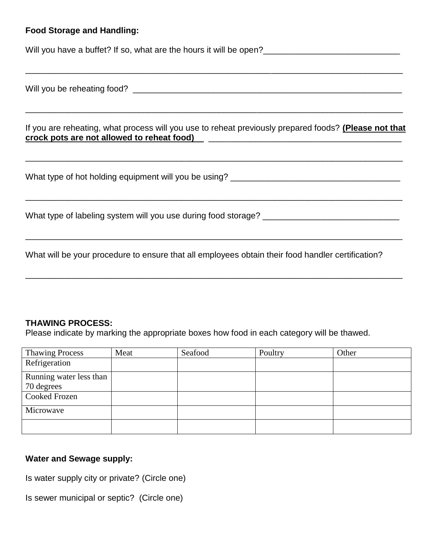## **Food Storage and Handling:**

Will you have a buffet? If so, what are the hours it will be open?\_\_\_\_\_\_\_\_\_\_\_\_\_\_\_\_\_\_\_\_\_\_\_\_\_\_\_\_\_

| If you are reheating, what process will you use to reheat previously prepared foods? (Please not that<br>crock pots are not allowed to reheat food) [2012] [2012] [2012] [2012] [2012] [2012] [2012] [2012] [2012] [2012] [2012] [2012] [2012] [2012] [2012] [2012] [2012] [2012] [2012] [2012] [2012] [2012] [2012] [2012] [2012] [201 |
|-----------------------------------------------------------------------------------------------------------------------------------------------------------------------------------------------------------------------------------------------------------------------------------------------------------------------------------------|
|                                                                                                                                                                                                                                                                                                                                         |
| What type of labeling system will you use during food storage?                                                                                                                                                                                                                                                                          |
| What will be your procedure to ensure that all employees obtain their food handler certification?                                                                                                                                                                                                                                       |

\_\_\_\_\_\_\_\_\_\_\_\_\_\_\_\_\_\_\_\_\_\_\_\_\_\_\_\_\_\_\_\_\_\_\_\_\_\_\_\_\_\_\_\_\_\_\_\_\_\_\_\_\_\_\_\_\_\_\_\_\_\_\_\_\_\_\_\_\_\_\_\_\_\_\_\_\_\_\_\_

### **THAWING PROCESS:**

Please indicate by marking the appropriate boxes how food in each category will be thawed.

| <b>Thawing Process</b>  | Meat | Seafood | Poultry | Other |
|-------------------------|------|---------|---------|-------|
| Refrigeration           |      |         |         |       |
| Running water less than |      |         |         |       |
| 70 degrees              |      |         |         |       |
| <b>Cooked Frozen</b>    |      |         |         |       |
| Microwave               |      |         |         |       |
|                         |      |         |         |       |

# **Water and Sewage supply:**

Is water supply city or private? (Circle one)

Is sewer municipal or septic? (Circle one)